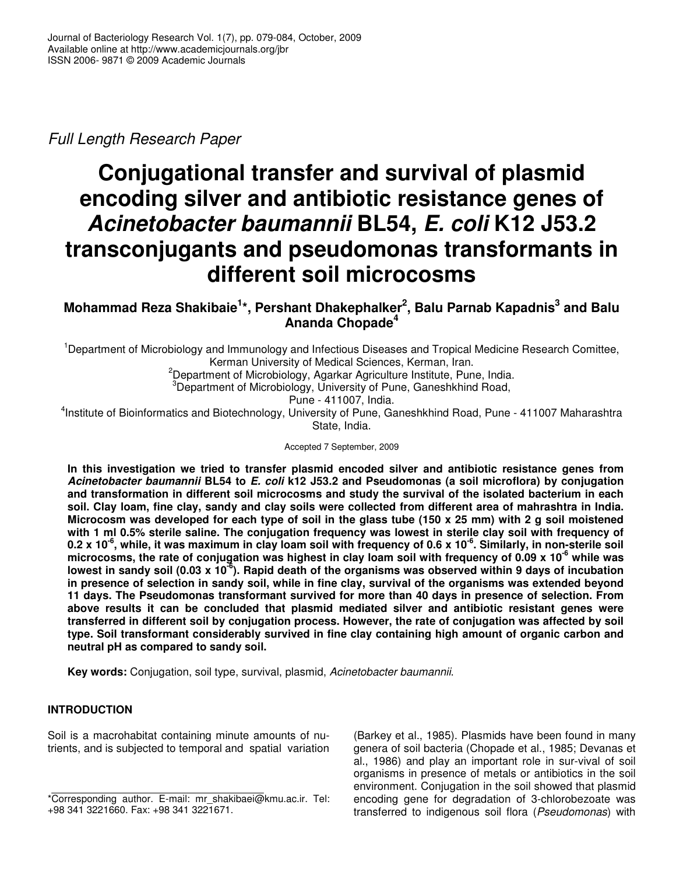*Full Length Research Paper*

# **Conjugational transfer and survival of plasmid encoding silver and antibiotic resistance genes of** *Acinetobacter baumannii* **BL54,** *E. coli* **K12 J53.2 transconjugants and pseudomonas transformants in different soil microcosms**

**Mohammad Reza Shakibaie 1 \*, Pershant Dhakephalker 2 , Balu Parnab Kapadnis 3 and Balu Ananda Chopade 4**

<sup>1</sup>Department of Microbiology and Immunology and Infectious Diseases and Tropical Medicine Research Comittee, Kerman University of Medical Sciences, Kerman, Iran.

 $2D$ epartment of Microbiology, Agarkar Agriculture Institute, Pune, India.

<sup>3</sup>Department of Microbiology, University of Pune, Ganeshkhind Road,

Pune - 411007, India.

<sup>4</sup>Institute of Bioinformatics and Biotechnology, University of Pune, Ganeshkhind Road, Pune - 411007 Maharashtra State, India.

Accepted 7 September, 2009

**In this investigation we tried to transfer plasmid encoded silver and antibiotic resistance genes from** *Acinetobacter baumannii* **BL54 to** *E. coli* **k12 J53.2 and Pseudomonas (a soil microflora) by conjugation and transformation in different soil microcosms and study the survival of the isolated bacterium in each** soil. Clay loam, fine clay, sandy and clay soils were collected from different area of mahrashtra in India. Microcosm was developed for each type of soil in the glass tube (150 x 25 mm) with 2 g soil moistened with 1 ml 0.5% sterile saline. The conjugation frequency was lowest in sterile clay soil with frequency of 0.2 x 10<sup>-6</sup>, while, it was maximum in clay loam soil with frequency of 0.6 x 10<sup>-6</sup>. Similarly, in non-sterile soil microcosms, the rate of conjugation was highest in clay loam soil with frequency of 0.09 x 10<sup>-6</sup> while was lowest in sandy soil (0.03 x 10<sup>-6</sup>). Rapid death of the organisms was observed within 9 days of incubation in presence of selection in sandy soil, while in fine clay, survival of the organisms was extended beyond **11 days. The Pseudomonas transformant survived for more than 40 days in presence of selection. From above results it can be concluded that plasmid mediated silver and antibiotic resistant genes were transferred in different soil by conjugation process. However, the rate of conjugation was affected by soil type. Soil transformant considerably survived in fine clay containing high amount of organic carbon and neutral pH as compared to sandy soil.**

**Key words:** Conjugation, soil type, survival, plasmid, *Acinetobacter baumannii*.

# **INTRODUCTION**

Soil is a macrohabitat containing minute amounts of nutrients, and is subjected to temporal and spatial variation (Barkey et al., 1985). Plasmids have been found in many genera of soil bacteria (Chopade et al., 1985; Devanas et al., 1986) and play an important role in sur-vival of soil organisms in presence of metals or antibiotics in the soil environment. Conjugation in the soil showed that plasmid encoding gene for degradation of 3-chlorobezoate was transferred to indigenous soil flora (*Pseudomonas*) with

<sup>\*</sup>Corresponding author. E-mail: mr\_shakibaei@kmu.ac.ir. Tel: +98 341 3221660. Fax: +98 341 3221671.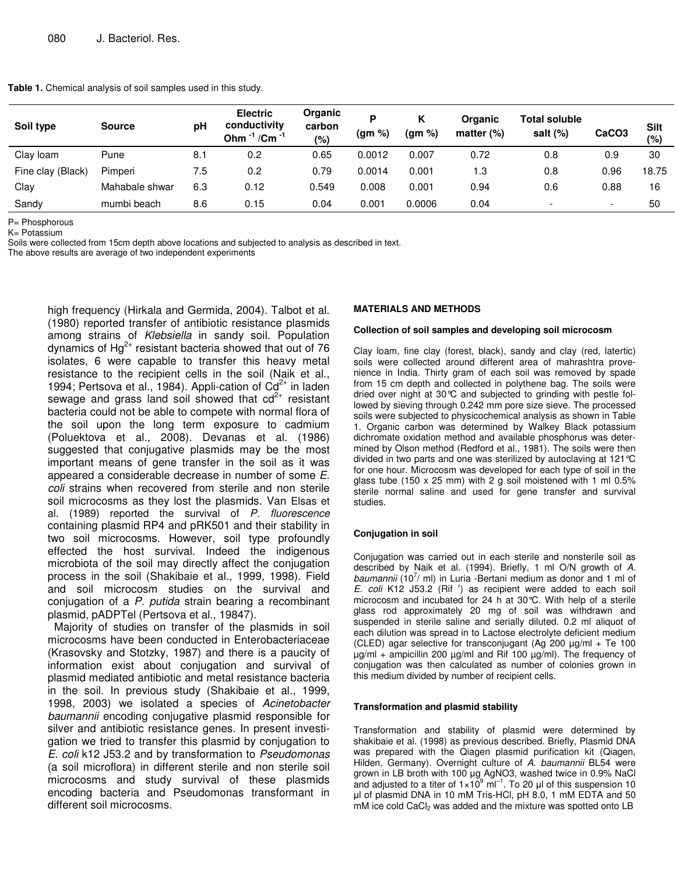**Table 1.** Chemical analysis of soil samples used in this study.

| Soil type         | <b>Source</b>  | рH  | <b>Electric</b><br>conductivity<br>Ohm <sup>-1</sup> /Cm <sup>-1</sup> | Organic<br>carbon<br>(%) | %)<br>(gm | Κ<br>(gm %) | Organic<br>matter $(\%)$ | <b>Total soluble</b><br>salt $(\%)$ | CaCO <sub>3</sub>        | <b>Silt</b><br>(%) |
|-------------------|----------------|-----|------------------------------------------------------------------------|--------------------------|-----------|-------------|--------------------------|-------------------------------------|--------------------------|--------------------|
| Clay Ioam         | Pune           | 8.1 | 0.2                                                                    | 0.65                     | 0.0012    | 0.007       | 0.72                     | 0.8                                 | 0.9                      | 30                 |
| Fine clay (Black) | Pimperi        | 7.5 | 0.2                                                                    | 0.79                     | 0.0014    | 0.001       | 1.3                      | 0.8                                 | 0.96                     | 18.75              |
| Clay              | Mahabale shwar | 6.3 | 0.12                                                                   | 0.549                    | 0.008     | 0.001       | 0.94                     | 0.6                                 | 0.88                     | 16                 |
| Sandy             | mumbi beach    | 8.6 | 0.15                                                                   | 0.04                     | 0.001     | 0.0006      | 0.04                     | -                                   | $\overline{\phantom{0}}$ | 50                 |

P= Phosphorous

K= Potassium

Soils were collected from 15cm depth above locations and subjected to analysis as described in text.

The above results are average of two independent experiments

high frequency (Hirkala and Germida, 2004). Talbot et al. (1980) reported transfer of antibiotic resistance plasmids among strains of *Klebsiella* in sandy soil. Population dynamics of Hg $^{2+}$  resistant bacteria showed that out of 76 isolates, 6 were capable to transfer this heavy metal resistance to the recipient cells in the soil (Naik et al., 1994; Pertsova et al., 1984). Appli-cation of  $Cd^{2+}$  in laden sewage and grass land soil showed that  $cd^{2+}$  resistant bacteria could not be able to compete with normal flora of the soil upon the long term exposure to cadmium (Poluektova et al., 2008). Devanas et al. (1986) suggested that conjugative plasmids may be the most important means of gene transfer in the soil as it was appeared a considerable decrease in number of some *E. coli* strains when recovered from sterile and non sterile soil microcosms as they lost the plasmids. Van Elsas et al. (1989) reported the survival of *P. fluorescence* containing plasmid RP4 and pRK501 and their stability in two soil microcosms. However, soil type profoundly effected the host survival. Indeed the indigenous microbiota of the soil may directly affect the conjugation process in the soil (Shakibaie et al., 1999, 1998). Field and soil microcosm studies on the survival and conjugation of a *P. putida* strain bearing a recombinant plasmid, pADPTel (Pertsova et al., 19847).

Majority of studies on transfer of the plasmids in soil microcosms have been conducted in Enterobacteriaceae (Krasovsky and Stotzky, 1987) and there is a paucity of information exist about conjugation and survival of plasmid mediated antibiotic and metal resistance bacteria in the soil. In previous study (Shakibaie et al., 1999, 1998, 2003) we isolated a species of *Acinetobacter baumannii* encoding conjugative plasmid responsible for silver and antibiotic resistance genes. In present investigation we tried to transfer this plasmid by conjugation to *E. coli* k12 J53.2 and by transformation to *Pseudomonas* (a soil microflora) in different sterile and non sterile soil microcosms and study survival of these plasmids encoding bacteria and Pseudomonas transformant in different soil microcosms.

#### **MATERIALS AND METHODS**

#### **Collection of soil samples and developing soil microcosm**

Clay loam, fine clay (forest, black), sandy and clay (red, latertic) soils were collected around different area of mahrashtra provenience in India. Thirty gram of each soil was removed by spade from 15 cm depth and collected in polythene bag. The soils were dried over night at 30°C and subjected to grinding with pestle followed by sieving through 0.242 mm pore size sieve. The processed soils were subjected to physicochemical analysis as shown in Table 1. Organic carbon was determined by Walkey Black potassium dichromate oxidation method and available phosphorus was determined by Olson method (Redford et al., 1981). The soils were then divided in two parts and one was sterilized by autoclaving at 121°C for one hour. Microcosm was developed for each type of soil in the glass tube (150 x 25 mm) with 2 g soil moistened with 1 ml 0.5% sterile normal saline and used for gene transfer and survival studies.

#### **Conjugation in soil**

Conjugation was carried out in each sterile and nonsterile soil as described by Naik et al. (1994). Briefly, 1 ml O/N growth of *A.* baumannii (10<sup>7</sup>/ ml) in Luria -Bertani medium as donor and 1 ml of *E. coli* K12 J53.2 (Rif r ) as recipient were added to each soil microcosm and incubated for 24 h at 30°C. With help of a sterile glass rod approximately 20 mg of soil was withdrawn and suspended in sterile saline and serially diluted. 0.2 ml aliquot of each dilution was spread in to Lactose electrolyte deficient medium (CLED) agar selective for transconjugant (Ag 200 µg/ml + Te 100 µg/ml + ampicillin 200 µg/ml and Rif 100 µg/ml). The frequency of conjugation was then calculated as number of colonies grown in this medium divided by number of recipient cells.

#### **Transformation and plasmid stability**

Transformation and stability of plasmid were determined by shakibaie et al. (1998) as previous described. Briefly, Plasmid DNA was prepared with the Qiagen plasmid purification kit (Qiagen, Hilden, Germany). Overnight culture of *A. baumannii* BL54 were grown in LB broth with 100 µg AgNO3, washed twice in 0.9% NaCl and adjusted to a titer of  $1 \times 10^9$  ml<sup>-1</sup>. To 20 µl of this suspension 10 µl of plasmid DNA in 10 mM Tris-HCl, pH 8.0, 1 mM EDTA and 50 mM ice cold CaCl<sub>2</sub> was added and the mixture was spotted onto LB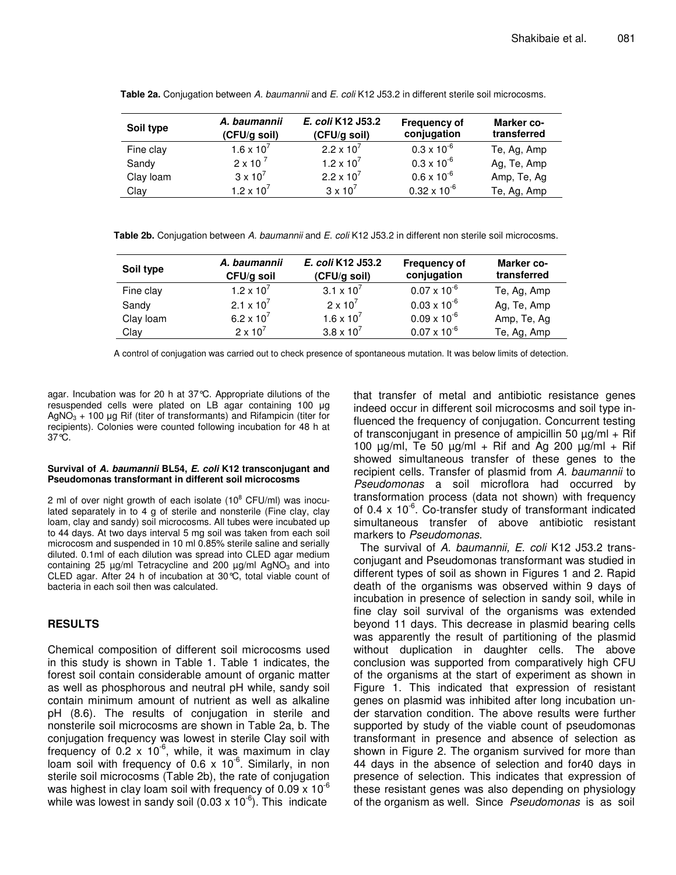| Soil type | A. baumannii<br>(CFU/g soil) | E. coli K12 J53.2<br>(CFU/g soil) | <b>Frequency of</b><br>conjugation | Marker co-<br>transferred |
|-----------|------------------------------|-----------------------------------|------------------------------------|---------------------------|
| Fine clay | $1.6 \times 10^{7}$          | $2.2 \times 10^{7}$               | $0.3 \times 10^{-6}$               | Te, Ag, Amp               |
| Sandy     | $2 \times 10^{-7}$           | $1.2 \times 10^{7}$               | $0.3 \times 10^{-6}$               | Ag, Te, Amp               |
| Clay loam | $3 \times 10^7$              | $2.2 \times 10^{7}$               | $0.6 \times 10^{-6}$               | Amp, Te, Ag               |
| Clay      | $1.2 \times 10^{7}$          | $3 \times 10^7$                   | $0.32 \times 10^{-6}$              | Te, Ag, Amp               |

**Table 2a.** Conjugation between *A. baumannii* and *E. coli* K12 J53.2 in different sterile soil microcosms.

**Table 2b.** Conjugation between *A. baumannii* and *E. coli* K12 J53.2 in different non sterile soil microcosms.

| Soil type | A. baumannii<br>CFU/g soil   | E. coli K12 J53.2<br>(CFU/g soil) | <b>Frequency of</b><br>conjugation | Marker co-<br>transferred |
|-----------|------------------------------|-----------------------------------|------------------------------------|---------------------------|
| Fine clay | $1.2 \times 10^{7}$          | 3.1 $\times$ 10 <sup>7</sup>      | $0.07 \times 10^{-6}$              | Te, Ag, Amp               |
| Sandy     | 2.1 $\times$ 10 <sup>7</sup> | $2 \times 10^7$                   | $0.03 \times 10^{-6}$              | Ag, Te, Amp               |
| Clay loam | 6.2 x $10^{7}$               | 1.6 x 10 <sup>7</sup>             | $0.09 \times 10^{-6}$              | Amp, Te, Ag               |
| Clay      | $2 \times 10^7$              | $3.8 \times 10^{7}$               | $0.07 \times 10^{-6}$              | Te, Ag, Amp               |

A control of conjugation was carried out to check presence of spontaneous mutation. It was below limits of detection.

agar. Incubation was for 20 h at 37°C. Appropriate dilutions of the resuspended cells were plated on LB agar containing 100 µg  $AgNO<sub>3</sub> + 100 \mu g$  Rif (titer of transformants) and Rifampicin (titer for recipients). Colonies were counted following incubation for 48 h at 37°C.

#### **Survival of** *A. baumannii* **BL54,** *E. coli* **K12 transconjugant and Pseudomonas transformant in different soil microcosms**

2 ml of over night growth of each isolate (10<sup>8</sup> CFU/ml) was inoculated separately in to 4 g of sterile and nonsterile (Fine clay, clay loam, clay and sandy) soil microcosms. All tubes were incubated up to 44 days. At two days interval 5 mg soil was taken from each soil microcosm and suspended in 10 ml 0.85% sterile saline and serially diluted. 0.1ml of each dilution was spread into CLED agar medium containing 25  $\mu$ g/ml Tetracycline and 200  $\mu$ g/ml AgNO<sub>3</sub> and into CLED agar. After 24 h of incubation at 30°C, total viable count of bacteria in each soil then was calculated.

# **RESULTS**

Chemical composition of different soil microcosms used in this study is shown in Table 1. Table 1 indicates, the forest soil contain considerable amount of organic matter as well as phosphorous and neutral pH while, sandy soil contain minimum amount of nutrient as well as alkaline pH (8.6). The results of conjugation in sterile and nonsterile soil microcosms are shown in Table 2a, b. The conjugation frequency was lowest in sterile Clay soil with frequency of 0.2 x 10<sup>-6</sup>, while, it was maximum in clay loam soil with frequency of 0.6 x 10<sup>-6</sup>. Similarly, in non sterile soil microcosms (Table 2b), the rate of conjugation was highest in clay loam soil with frequency of 0.09 x 10<sup>-6</sup> while was lowest in sandy soil (0.03 x 10 $^6$ ). This indicate

that transfer of metal and antibiotic resistance genes indeed occur in different soil microcosms and soil type influenced the frequency of conjugation. Concurrent testing of transconjugant in presence of ampicillin 50  $\mu$ g/ml + Rif 100  $\mu$ g/ml, Te 50  $\mu$ g/ml + Rif and Ag 200  $\mu$ g/ml + Rif showed simultaneous transfer of these genes to the recipient cells. Transfer of plasmid from *A. baumannii* to *Pseudomonas* a soil microflora had occurred by transformation process (data not shown) with frequency of 0.4 x 10<sup>-6</sup>. Co-transfer study of transformant indicated simultaneous transfer of above antibiotic resistant markers to *Pseudomonas*.

The survival of *A. baumannii, E. coli* K12 J53.2 transconjugant and Pseudomonas transformant was studied in different types of soil as shown in Figures 1 and 2. Rapid death of the organisms was observed within 9 days of incubation in presence of selection in sandy soil, while in fine clay soil survival of the organisms was extended beyond 11 days. This decrease in plasmid bearing cells was apparently the result of partitioning of the plasmid without duplication in daughter cells. The above conclusion was supported from comparatively high CFU of the organisms at the start of experiment as shown in Figure 1. This indicated that expression of resistant genes on plasmid was inhibited after long incubation under starvation condition. The above results were further supported by study of the viable count of pseudomonas transformant in presence and absence of selection as shown in Figure 2. The organism survived for more than 44 days in the absence of selection and for40 days in presence of selection. This indicates that expression of these resistant genes was also depending on physiology of the organism as well. Since *Pseudomonas* is as soil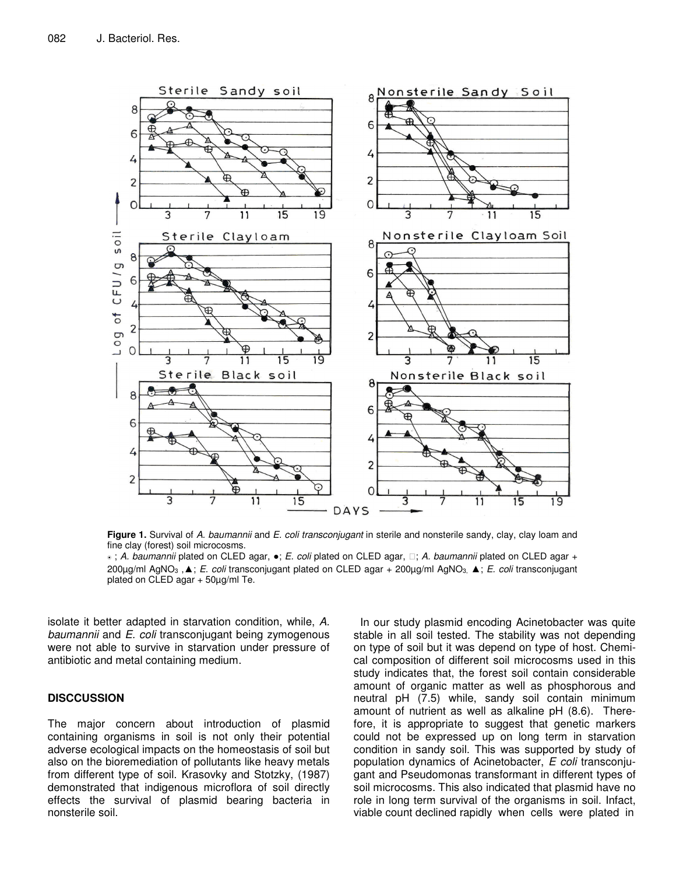

**Figure 1.** Survival of *A. baumannii* and *E. coli transconjugant* in sterile and nonsterile sandy, clay, clay loam and fine clay (forest) soil microcosms.

® ; *A. baumannii* plated on CLED agar, ●; *E. coli* plated on CLED agar, ; *A. baumannii* plated on CLED agar + 200μg/ml AgNO<sub>3</sub>, **A**; *E. coli* transconjugant plated on CLED agar + 200μg/ml AgNO<sub>3</sub> **A**; *E. coli* transconjugant plated on CLED agar + 50µg/ml Te.

isolate it better adapted in starvation condition, while, *A. baumannii* and *E. coli* transconjugant being zymogenous were not able to survive in starvation under pressure of antibiotic and metal containing medium.

## **DISCCUSSION**

The major concern about introduction of plasmid containing organisms in soil is not only their potential adverse ecological impacts on the homeostasis of soil but also on the bioremediation of pollutants like heavy metals from different type of soil. Krasovky and Stotzky, (1987) demonstrated that indigenous microflora of soil directly effects the survival of plasmid bearing bacteria in nonsterile soil.

In our study plasmid encoding Acinetobacter was quite stable in all soil tested. The stability was not depending on type of soil but it was depend on type of host. Chemical composition of different soil microcosms used in this study indicates that, the forest soil contain considerable amount of organic matter as well as phosphorous and neutral pH (7.5) while, sandy soil contain minimum amount of nutrient as well as alkaline pH (8.6). Therefore, it is appropriate to suggest that genetic markers could not be expressed up on long term in starvation condition in sandy soil. This was supported by study of population dynamics of Acinetobacter, *E coli* transconjugant and Pseudomonas transformant in different types of soil microcosms. This also indicated that plasmid have no role in long term survival of the organisms in soil. Infact, viable count declined rapidly when cells were plated in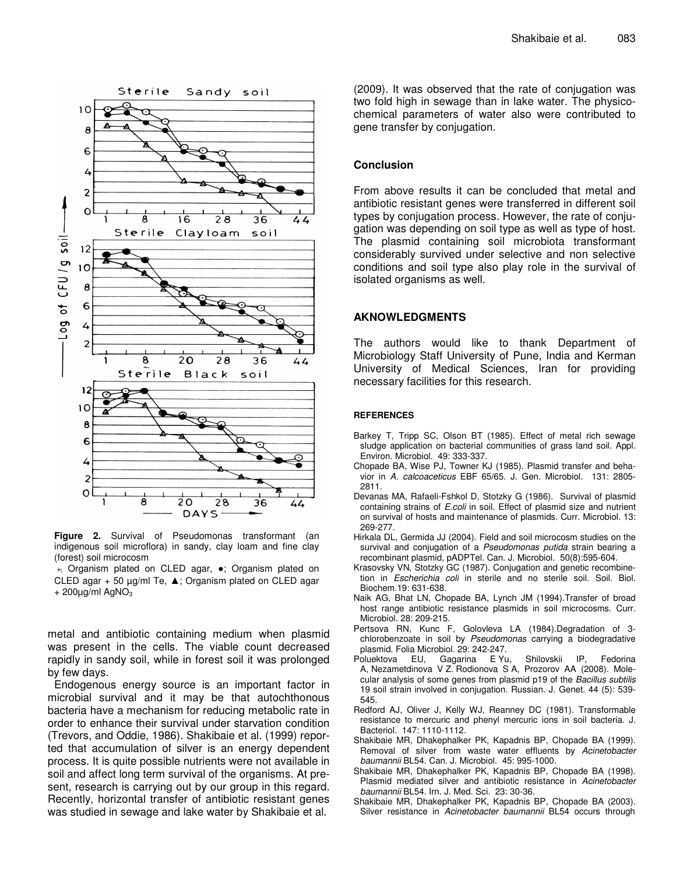

**Figure 2.** Survival of Pseudomonas transformant (an indigenous soil microflora) in sandy, clay loam and fine clay (forest) soil microcosm

<sup>®</sup>; Organism plated on CLED agar, •; Organism plated on CLED agar  $+50 \mu g/ml$  Te,  $\triangle$ ; Organism plated on CLED agar  $+ 200 \mu g/ml$  AgNO<sub>3</sub>

metal and antibiotic containing medium when plasmid was present in the cells. The viable count decreased rapidly in sandy soil, while in forest soil it was prolonged by few days.

Endogenous energy source is an important factor in microbial survival and it may be that autochthonous bacteria have a mechanism for reducing metabolic rate in order to enhance their survival under starvation condition (Trevors, and Oddie, 1986). Shakibaie et al. (1999) reported that accumulation of silver is an energy dependent process. It is quite possible nutrients were not available in soil and affect long term survival of the organisms. At present, research is carrying out by our group in this regard. Recently, horizontal transfer of antibiotic resistant genes was studied in sewage and lake water by Shakibaie et al.

(2009). It was observed that the rate of conjugation was two fold high in sewage than in lake water. The physicochemical parameters of water also were contributed to gene transfer by conjugation.

## **Conclusion**

From above results it can be concluded that metal and antibiotic resistant genes were transferred in different soil types by conjugation process. However, the rate of conjugation was depending on soil type as well as type of host. The plasmid containing soil microbiota transformant considerably survived under selective and non selective conditions and soil type also play role in the survival of isolated organisms as well.

### **AKNOWLEDGMENTS**

The authors would like to thank Department of Microbiology Staff University of Pune, India and Kerman University of Medical Sciences, Iran for providing necessary facilities for this research.

#### **REFERENCES**

- Barkey T, Tripp SC, Olson BT (1985). Effect of metal rich sewage sludge application on bacterial communities of grass land soil. Appl. Environ. Microbiol. 49: 333-337.
- Chopade BA, Wise PJ, Towner KJ (1985). Plasmid transfer and behavior in *A. calcoaceticus* EBF 65/65. J. Gen. Microbiol. 131: 2805- 2811.
- Devanas MA, Rafaeli-Fshkol D, Stotzky G (1986). Survival of plasmid containing strains of *E.coli* in soil. Effect of plasmid size and nutrient on survival of hosts and maintenance of plasmids. Curr. Microbiol. 13: 269-277.
- Hirkala DL, Germida JJ (2004). Field and soil microcosm studies on the survival and conjugation of a *Pseudomonas putida* strain bearing a recombinant plasmid, pADPTel. Can. J. Microbiol. 50(8):595-604.
- Krasovsky VN, Stotzky GC (1987). Conjugation and genetic recombinetion in *Escherichia coli* in sterile and no sterile soil. Soil. Biol. Biochem.19: 631-638.
- Naik AG, Bhat LN, Chopade BA, Lynch JM (1994).Transfer of broad host range antibiotic resistance plasmids in soil microcosms. Curr. Microbiol. 28: 209-215.
- Pertsova RN, Kunc F, Golovleva LA (1984).Degradation of 3 chlorobenzoate in soil by *Pseudomonas* carrying a biodegradative plasmid. Folia Microbiol. 29: 242-247.
- Poluektova EU, Gagarina E Yu, Shilovskii IP, Fedorina A, Nezametdinova V Z. Rodionova S A, Prozorov AA (2008). Molecular analysis of some genes from plasmid p19 of the *Bacillus subtilis* 19 soil strain involved in conjugation. Russian. J. Genet. 44 (5): 539- 545.
- Redford AJ, Oliver J, Kelly WJ, Reanney DC (1981). Transformable resistance to mercuric and phenyl mercuric ions in soil bacteria. J. Bacteriol. 147: 1110-1112.
- Shakibaie MR, Dhakephalker PK, Kapadnis BP, Chopade BA (1999). Removal of silver from waste water effluents by *Acinetobacter baumannii* BL54. Can. J. Microbiol. 45: 995-1000.
- Shakibaie MR, Dhakephalker PK, Kapadnis BP, Chopade BA (1998). Plasmid mediated silver and antibiotic resistance in *Acinetobacter baumannii* BL54. Irn. J. Med. Sci. 23: 30-36.
- Shakibaie MR, Dhakephalker PK, Kapadnis BP, Chopade BA (2003). Silver resistance in *Acinetobacter baumannii* BL54 occurs through